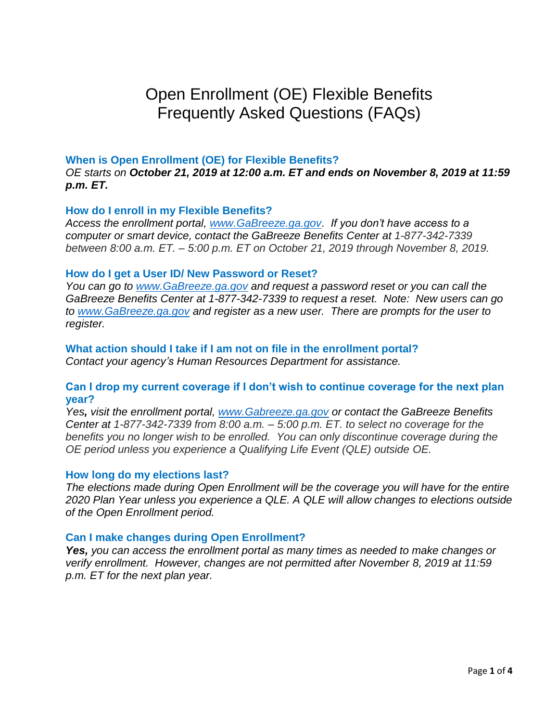# Open Enrollment (OE) Flexible Benefits Frequently Asked Questions (FAQs)

## **When is Open Enrollment (OE) for Flexible Benefits?**

*OE starts on October 21, 2019 at 12:00 a.m. ET and ends on November 8, 2019 at 11:59 p.m. ET.*

#### **How do I enroll in my Flexible Benefits?**

*Access the enrollment portal, [www.GaBreeze.ga.gov.](http://www.gabreeze.ga.gov/) If you don't have access to a computer or smart device, contact the GaBreeze Benefits Center at 1-877-342-7339 between 8:00 a.m. ET. – 5:00 p.m. ET on October 21, 2019 through November 8, 2019.*

#### **How do I get a User ID/ New Password or Reset?**

*You can go to [www.GaBreeze.ga.gov](http://www.gabreeze.ga.gov/) and request a password reset or you can call the GaBreeze Benefits Center at 1-877-342-7339 to request a reset. Note: New users can go to [www.GaBreeze.ga.gov](http://www.gabreeze.ga.gov/) and register as a new user. There are prompts for the user to register.* 

**What action should I take if I am not on file in the enrollment portal?**  *Contact your agency's Human Resources Department for assistance.*

#### **Can I drop my current coverage if I don't wish to continue coverage for the next plan year?**

*Yes, visit the enrollment portal, [www.Gabreeze.ga.gov](http://www.gabreeze.ga.gov/) or contact the GaBreeze Benefits Center at 1-877-342-7339 from 8:00 a.m. – 5:00 p.m. ET. to select no coverage for the benefits you no longer wish to be enrolled. You can only discontinue coverage during the OE period unless you experience a Qualifying Life Event (QLE) outside OE.*

#### **How long do my elections last?**

*The elections made during Open Enrollment will be the coverage you will have for the entire 2020 Plan Year unless you experience a QLE. A QLE will allow changes to elections outside of the Open Enrollment period.*

#### **Can I make changes during Open Enrollment?**

*Yes, you can access the enrollment portal as many times as needed to make changes or verify enrollment. However, changes are not permitted after November 8, 2019 at 11:59 p.m. ET for the next plan year.*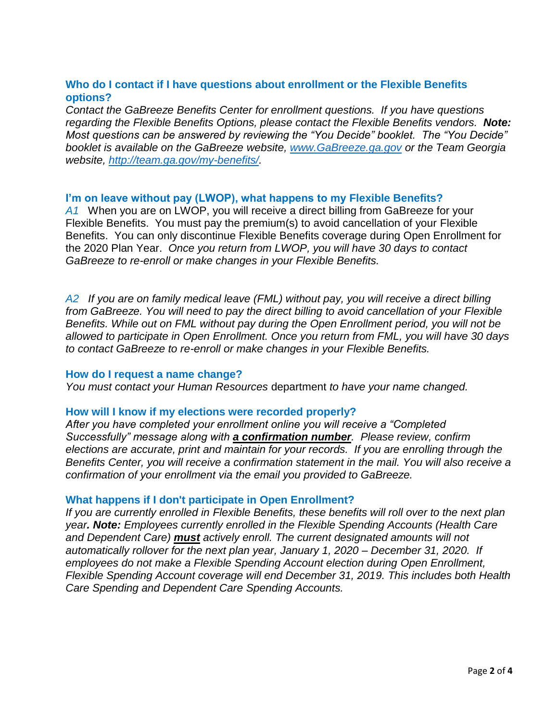# **Who do I contact if I have questions about enrollment or the Flexible Benefits options?**

*Contact the GaBreeze Benefits Center for enrollment questions. If you have questions regarding the Flexible Benefits Options, please contact the Flexible Benefits vendors. Note: Most questions can be answered by reviewing the "You Decide" booklet. The "You Decide" booklet is available on the GaBreeze website, [www.GaBreeze.ga.gov](http://www.gabreeze.ga.gov/) or the Team Georgia website, [http://team.ga.gov/my-benefits/.](http://team.ga.gov/my-benefits/)* 

## **I'm on leave without pay (LWOP), what happens to my Flexible Benefits?**

*A1* When you are on LWOP, you will receive a direct billing from GaBreeze for your Flexible Benefits. You must pay the premium(s) to avoid cancellation of your Flexible Benefits. You can only discontinue Flexible Benefits coverage during Open Enrollment for the 2020 Plan Year. *Once you return from LWOP, you will have 30 days to contact GaBreeze to re-enroll or make changes in your Flexible Benefits.*

*A2 If you are on family medical leave (FML) without pay, you will receive a direct billing from GaBreeze. You will need to pay the direct billing to avoid cancellation of your Flexible Benefits. While out on FML without pay during the Open Enrollment period, you will not be allowed to participate in Open Enrollment. Once you return from FML, you will have 30 days to contact GaBreeze to re-enroll or make changes in your Flexible Benefits.*

#### **How do I request a name change?**

*You must contact your Human Resources* department *to have your name changed.*

#### **How will I know if my elections were recorded properly?**

*After you have completed your enrollment online you will receive a "Completed Successfully" message along with a confirmation number. Please review, confirm elections are accurate, print and maintain for your records. If you are enrolling through the Benefits Center, you will receive a confirmation statement in the mail. You will also receive a confirmation of your enrollment via the email you provided to GaBreeze.*

#### **What happens if I don't participate in Open Enrollment?**

*If you are currently enrolled in Flexible Benefits, these benefits will roll over to the next plan year. Note: Employees currently enrolled in the Flexible Spending Accounts (Health Care and Dependent Care) must actively enroll. The current designated amounts will not automatically rollover for the next plan year, January 1, 2020 – December 31, 2020. If employees do not make a Flexible Spending Account election during Open Enrollment, Flexible Spending Account coverage will end December 31, 2019. This includes both Health Care Spending and Dependent Care Spending Accounts.*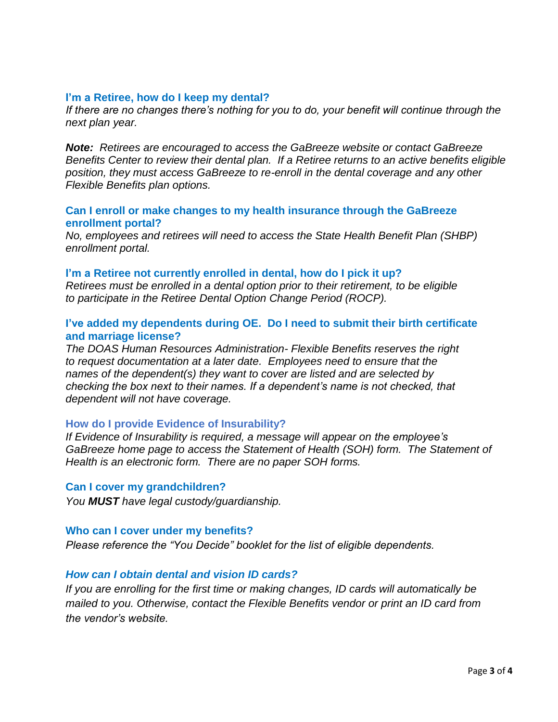## **I'm a Retiree, how do I keep my dental?**

*If there are no changes there's nothing for you to do, your benefit will continue through the next plan year.*

*Note: Retirees are encouraged to access the GaBreeze website or contact GaBreeze Benefits Center to review their dental plan. If a Retiree returns to an active benefits eligible position, they must access GaBreeze to re-enroll in the dental coverage and any other Flexible Benefits plan options.* 

## **Can I enroll or make changes to my health insurance through the GaBreeze enrollment portal?**

*No, employees and retirees will need to access the State Health Benefit Plan (SHBP) enrollment portal.*

#### **I'm a Retiree not currently enrolled in dental, how do I pick it up?**

*Retirees must be enrolled in a dental option prior to their retirement, to be eligible to participate in the Retiree Dental Option Change Period (ROCP).* 

## **I've added my dependents during OE. Do I need to submit their birth certificate and marriage license?**

*The DOAS Human Resources Administration- Flexible Benefits reserves the right to request documentation at a later date. Employees need to ensure that the names of the dependent(s) they want to cover are listed and are selected by checking the box next to their names. If a dependent's name is not checked, that dependent will not have coverage.* 

#### **How do I provide Evidence of Insurability?**

*If Evidence of Insurability is required, a message will appear on the employee's GaBreeze home page to access the Statement of Health (SOH) form. The Statement of Health is an electronic form. There are no paper SOH forms.*

#### **Can I cover my grandchildren?**

*You MUST have legal custody/guardianship.*

#### **Who can I cover under my benefits?**

*Please reference the "You Decide" booklet for the list of eligible dependents.*

#### *How can I obtain dental and vision ID cards?*

*If you are enrolling for the first time or making changes, ID cards will automatically be mailed to you. Otherwise, contact the Flexible Benefits vendor or print an ID card from the vendor's website.*